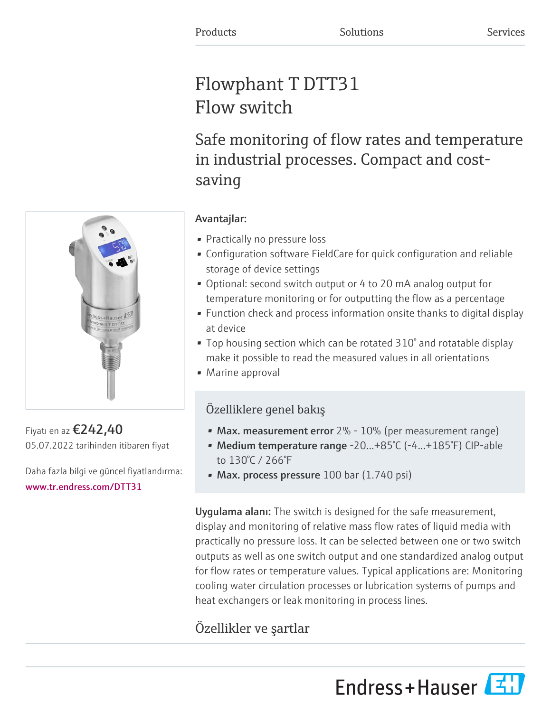# Flowphant T DTT31 Flow switch

Safe monitoring of flow rates and temperature in industrial processes. Compact and costsaving



Fiyatı en az €242,40 05.07.2022 tarihinden itibaren fiyat

Daha fazla bilgi ve güncel fiyatlandırma: [www.tr.endress.com/DTT31](https://www.tr.endress.com/DTT31)

### Avantajlar:

- Practically no pressure loss
- Configuration software FieldCare for quick configuration and reliable storage of device settings
- Optional: second switch output or 4 to 20 mA analog output for temperature monitoring or for outputting the flow as a percentage
- Function check and process information onsite thanks to digital display at device
- Top housing section which can be rotated 310° and rotatable display make it possible to read the measured values in all orientations
- Marine approval

## Özelliklere genel bakış

- Max. measurement error  $2\%$   $10\%$  (per measurement range)
- Medium temperature range -20...+85°C (-4...+185°F) CIP-able to 130°C / 266°F
- Max. process pressure  $100$  bar  $(1.740$  psi)

Uygulama alanı: The switch is designed for the safe measurement, display and monitoring of relative mass flow rates of liquid media with practically no pressure loss. It can be selected between one or two switch outputs as well as one switch output and one standardized analog output for flow rates or temperature values. Typical applications are: Monitoring cooling water circulation processes or lubrication systems of pumps and heat exchangers or leak monitoring in process lines.

# Özellikler ve şartlar